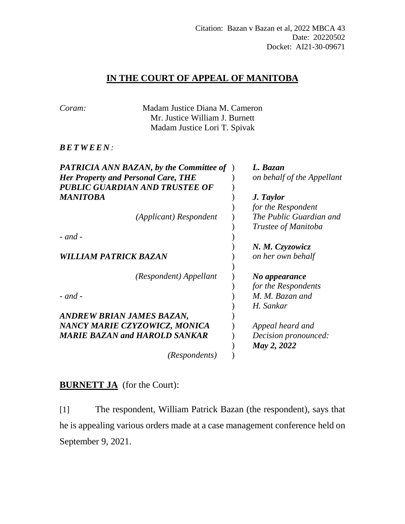## **IN THE COURT OF APPEAL OF MANITOBA**

| <b>Her Property and Personal Care, THE</b> |                                      | L. Bazan<br>on behalf of the Appellant                                                                                                               |
|--------------------------------------------|--------------------------------------|------------------------------------------------------------------------------------------------------------------------------------------------------|
| PUBLIC GUARDIAN AND TRUSTEE OF             |                                      |                                                                                                                                                      |
|                                            |                                      | J. Taylor<br>for the Respondent                                                                                                                      |
| (Applicant) Respondent                     |                                      | The Public Guardian and<br>Trustee of Manitoba                                                                                                       |
|                                            |                                      |                                                                                                                                                      |
| <b>WILLIAM PATRICK BAZAN</b>               |                                      | N. M. Czyzowicz<br>on her own behalf                                                                                                                 |
| (Respondent) Appellant                     |                                      | No appearance<br>for the Respondents                                                                                                                 |
|                                            |                                      | M. M. Bazan and<br>H. Sankar                                                                                                                         |
| ANDREW BRIAN JAMES BAZAN,                  |                                      |                                                                                                                                                      |
| NANCY MARIE CZYZOWICZ, MONICA              |                                      | Appeal heard and                                                                                                                                     |
|                                            |                                      | Decision pronounced:<br>May 2, 2022                                                                                                                  |
| (Respondents)                              |                                      |                                                                                                                                                      |
|                                            | <b>MARIE BAZAN and HAROLD SANKAR</b> | Madam Justice Diana M. Cameron<br>Mr. Justice William J. Burnett<br>Madam Justice Lori T. Spivak<br><b>PATRICIA ANN BAZAN, by the Committee of</b> ) |

## **BURNETT JA** (for the Court):

[1] The respondent, William Patrick Bazan (the respondent), says that he is appealing various orders made at a case management conference held on September 9, 2021.